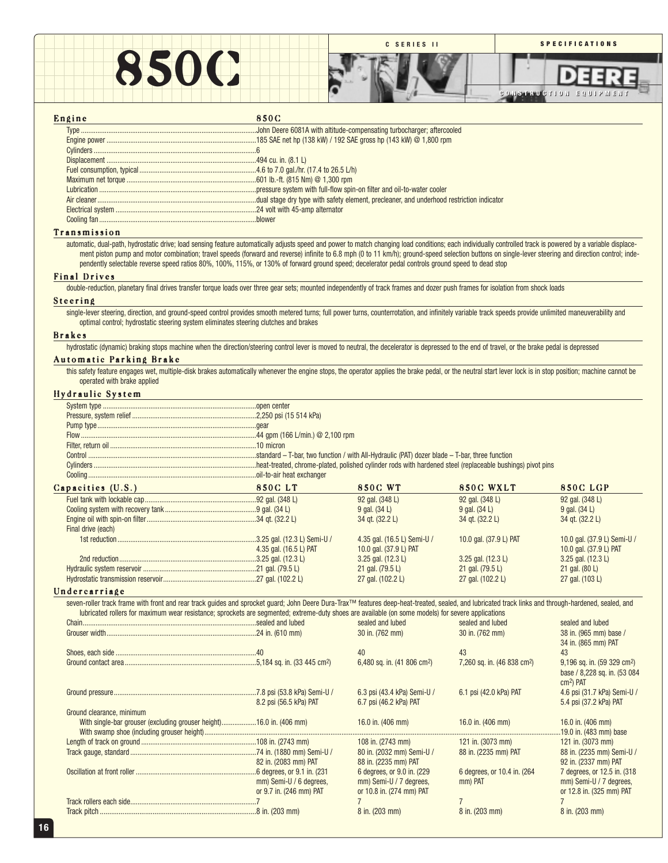

| Engine |  |  |  |  |  |  |
|--------|--|--|--|--|--|--|
|--------|--|--|--|--|--|--|

## 850C

#### Transmission

automatic, dual-path, hydrostatic drive; load sensing feature automatically adjusts speed and power to match changing load conditions; each individually controlled track is powered by a variable displacement piston pump and motor combination; travel speeds (forward and reverse) infinite to 6.8 mph (0 to 11 km/h); ground-speed selection buttons on single-lever steering and direction control; independently selectable reverse speed ratios 80%, 100%, 115%, or 130% of forward ground speed; decelerator pedal controls ground speed to dead stop

#### Final Drives

double-reduction, planetary final drives transfer torque loads over three gear sets; mounted independently of track frames and dozer push frames for isolation from shock loads

#### Steering

single-lever steering, direction, and ground-speed control provides smooth metered turns; full power turns, counterrotation, and infinitely variable track speeds provide unlimited maneuverability and optimal control; hydrostatic steering system eliminates steering clutches and brakes

#### Brakes

hydrostatic (dynamic) braking stops machine when the direction/steering control lever is moved to neutral, the decelerator is depressed to the end of travel, or the brake pedal is depressed

## Automatic Parking Brake

this safety feature engages wet, multiple-disk brakes automatically whenever the engine stops, the operator applies the brake pedal, or the neutral start lever lock is in stop position; machine cannot be operated with brake applied

#### Hydraulic System

| Capacities (U.S.)<br><u> 1980 - Johann Barbara, martxa a</u>                                                                                                                                                                                                                                                                                               | 850C LT                 | <b>850C WT</b>                          | 850C WXLT                               | <b>850C LGP</b>                         |
|------------------------------------------------------------------------------------------------------------------------------------------------------------------------------------------------------------------------------------------------------------------------------------------------------------------------------------------------------------|-------------------------|-----------------------------------------|-----------------------------------------|-----------------------------------------|
|                                                                                                                                                                                                                                                                                                                                                            |                         | 92 gal. (348 L)                         | 92 gal. (348 L)                         | 92 gal. (348 L)                         |
|                                                                                                                                                                                                                                                                                                                                                            |                         | 9 gal. (34 L)                           | 9 gal. (34 L)                           | 9 gal. (34 L)                           |
|                                                                                                                                                                                                                                                                                                                                                            |                         | 34 gt. (32.2 L)                         | 34 gt. (32.2 L)                         | 34 gt. (32.2 L)                         |
| Final drive (each)                                                                                                                                                                                                                                                                                                                                         |                         |                                         |                                         |                                         |
|                                                                                                                                                                                                                                                                                                                                                            |                         | 4.35 gal. (16.5 L) Semi-U /             | 10.0 gal. (37.9 L) PAT                  | 10.0 gal. (37.9 L) Semi-U /             |
|                                                                                                                                                                                                                                                                                                                                                            | 4.35 gal. (16.5 L) PAT  | 10.0 gal. (37.9 L) PAT                  |                                         | 10.0 gal. (37.9 L) PAT                  |
|                                                                                                                                                                                                                                                                                                                                                            |                         | 3.25 gal. (12.3 L)                      | $3.25$ gal. $(12.3 L)$                  | 3.25 gal. (12.3 L)                      |
|                                                                                                                                                                                                                                                                                                                                                            |                         | 21 gal. (79.5 L)                        | 21 gal. (79.5 L)                        | 21 gal. (80 L)                          |
|                                                                                                                                                                                                                                                                                                                                                            |                         | 27 gal. (102.2 L)                       | 27 gal. (102.2 L)                       | 27 gal. (103 L)                         |
| Undercarriage                                                                                                                                                                                                                                                                                                                                              |                         |                                         |                                         |                                         |
| seven-roller track frame with front and rear track quides and sprocket quard; John Deere Dura-Trax™ features deep-heat-treated, sealed, and lubricated track links and through-hardened, sealed, and<br>lubricated rollers for maximum wear resistance; sprockets are segmented; extreme-duty shoes are available (on some models) for severe applications |                         |                                         |                                         |                                         |
|                                                                                                                                                                                                                                                                                                                                                            |                         | sealed and lubed                        | sealed and lubed                        | sealed and lubed                        |
|                                                                                                                                                                                                                                                                                                                                                            |                         | 30 in. (762 mm)                         | 30 in. (762 mm)                         | 38 in. (965 mm) base /                  |
|                                                                                                                                                                                                                                                                                                                                                            |                         |                                         |                                         | 34 in. (865 mm) PAT                     |
|                                                                                                                                                                                                                                                                                                                                                            |                         | 40                                      | 43                                      | 43                                      |
|                                                                                                                                                                                                                                                                                                                                                            |                         | 6,480 sq. in. (41 806 cm <sup>2</sup> ) | 7,260 sq. in. (46 838 cm <sup>2</sup> ) | 9,196 sq. in. (59 329 cm <sup>2</sup> ) |
|                                                                                                                                                                                                                                                                                                                                                            |                         |                                         |                                         | base / 8,228 sq. in. (53 084            |
|                                                                                                                                                                                                                                                                                                                                                            |                         |                                         |                                         | cm <sup>2</sup> ) PAT                   |
|                                                                                                                                                                                                                                                                                                                                                            |                         | 6.3 psi (43.4 kPa) Semi-U /             | 6.1 psi (42.0 kPa) PAT                  | 4.6 psi (31.7 kPa) Semi-U /             |
|                                                                                                                                                                                                                                                                                                                                                            | 8.2 psi (56.5 kPa) PAT  | 6.7 psi (46.2 kPa) PAT                  |                                         | 5.4 psi (37.2 kPa) PAT                  |
| Ground clearance, minimum                                                                                                                                                                                                                                                                                                                                  |                         |                                         |                                         |                                         |
| With single-bar grouser (excluding grouser height)16.0 in. (406 mm)                                                                                                                                                                                                                                                                                        |                         | 16.0 in. (406 mm)                       | 16.0 in. (406 mm)                       | 16.0 in. (406 mm)                       |
|                                                                                                                                                                                                                                                                                                                                                            |                         |                                         |                                         | 19.0 in. (483 mm) base                  |
|                                                                                                                                                                                                                                                                                                                                                            |                         | 108 in. (2743 mm)                       | 121 in. (3073 mm)                       | 121 in. (3073 mm)                       |
|                                                                                                                                                                                                                                                                                                                                                            |                         | 80 in. (2032 mm) Semi-U /               | 88 in. (2235 mm) PAT                    | 88 in. (2235 mm) Semi-U /               |
|                                                                                                                                                                                                                                                                                                                                                            | 82 in. (2083 mm) PAT    | 88 in. (2235 mm) PAT                    |                                         | 92 in. (2337 mm) PAT                    |
|                                                                                                                                                                                                                                                                                                                                                            |                         | 6 degrees, or 9.0 in. (229)             | 6 degrees, or 10.4 in. (264)            | 7 degrees, or 12.5 in. (318)            |
|                                                                                                                                                                                                                                                                                                                                                            | mm) Semi-U / 6 degrees, | mm) Semi-U / 7 degrees,                 | mm) PAT                                 | mm) Semi-U / 7 degrees,                 |
|                                                                                                                                                                                                                                                                                                                                                            | or 9.7 in. (246 mm) PAT | or 10.8 in. (274 mm) PAT                |                                         | or 12.8 in. (325 mm) PAT                |
|                                                                                                                                                                                                                                                                                                                                                            |                         |                                         | $\overline{7}$                          |                                         |
|                                                                                                                                                                                                                                                                                                                                                            |                         | 8 in. (203 mm)                          | 8 in. (203 mm)                          | 8 in. (203 mm)                          |
|                                                                                                                                                                                                                                                                                                                                                            |                         |                                         |                                         |                                         |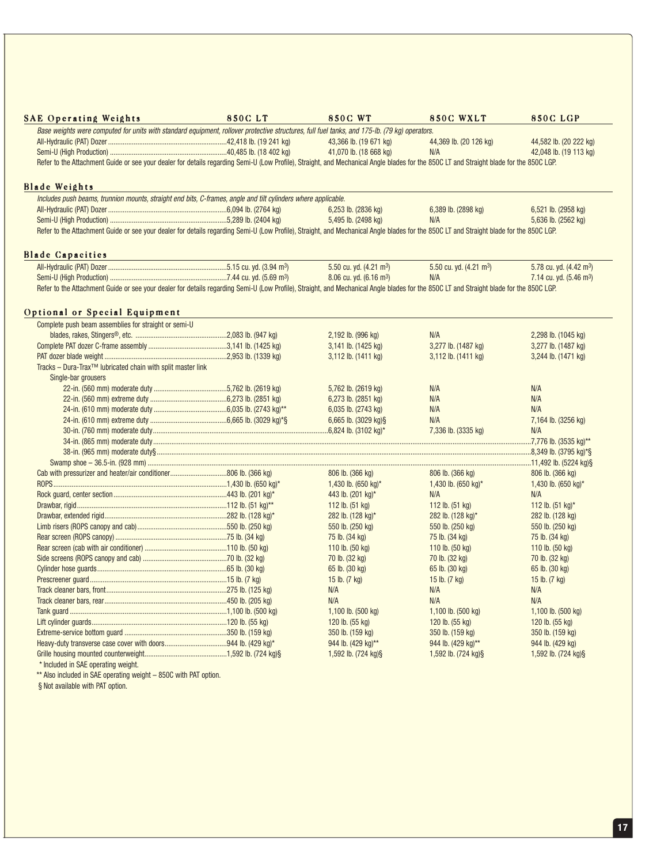| Base weights were computed for units with standard equipment, rollover protective structures, full fuel tanks, and 175-lb. (79 kg) operators.<br>43,366 lb. (19 671 kg)<br>44,369 lb. (20 126 kg)<br>41,070 lb. (18 668 kg)<br>N/A<br>Refer to the Attachment Guide or see your dealer for details regarding Semi-U (Low Profile), Straight, and Mechanical Angle blades for the 850C LT and Straight blade for the 850C LGP.<br><b>Blade Weights</b><br>Includes push beams, trunnion mounts, straight end bits, C-frames, angle and tilt cylinders where applicable.<br>6,253 lb. (2836 kg)<br>6,389 lb. (2898 kg)<br>5,495 lb. (2498 kg)<br>N/A<br>Refer to the Attachment Guide or see your dealer for details regarding Semi-U (Low Profile), Straight, and Mechanical Angle blades for the 850C LT and Straight blade for the 850C LGP.<br><b>Blade Capacities</b><br>5.50 cu. yd. (4.21 m <sup>3</sup> )<br>5.50 cu. yd. (4.21 m <sup>3</sup> )<br>8.06 cu. yd. (6.16 m <sup>3</sup> )<br>N/A<br>Refer to the Attachment Guide or see your dealer for details regarding Semi-U (Low Profile), Straight, and Mechanical Angle blades for the 850C LT and Straight blade for the 850C LGP.<br>Optional or Special Equipment<br>Complete push beam assemblies for straight or semi-U<br>2,192 lb. (996 kg)<br>N/A<br>3,141 lb. (1425 kg)<br>3,277 lb. (1487 kg)<br>3,112 lb. (1411 kg)<br>3,112 lb. (1411 kg)<br>Tracks - Dura-Trax™ lubricated chain with split master link<br>Single-bar grousers<br>5,762 lb. (2619 kg)<br>N/A<br>6,273 lb. (2851 kg)<br>N/A<br>6,035 lb. (2743 kg)<br>N/A<br>N/A<br>6,665 lb. (3029 kg)§<br>7,336 lb. (3335 kg)<br>806 lb. (366 kg)<br>806 lb. (366 kg)<br>1,430 lb. (650 kg)*<br>1,430 lb. $(650 \text{ kg})^*$<br>443 lb. (201 kg)*<br>N/A<br>112 lb. (51 kg)<br>112 lb. $(51 \text{ kg})$<br>282 lb. (128 kg)*<br>282 lb. (128 kg)*<br>550 lb. (250 kg)<br>550 lb. (250 kg)<br>75 lb. (34 kg)<br>75 lb. (34 kg)<br>110 lb. (50 kg)<br>110 lb. (50 kg)<br>70 lb. (32 kg)<br>70 lb. (32 kg)<br>65 lb. (30 kg)<br>65 lb. (30 kg) | 44,582 lb. (20 222 kg)<br>42,048 lb. (19 113 kg) |
|--------------------------------------------------------------------------------------------------------------------------------------------------------------------------------------------------------------------------------------------------------------------------------------------------------------------------------------------------------------------------------------------------------------------------------------------------------------------------------------------------------------------------------------------------------------------------------------------------------------------------------------------------------------------------------------------------------------------------------------------------------------------------------------------------------------------------------------------------------------------------------------------------------------------------------------------------------------------------------------------------------------------------------------------------------------------------------------------------------------------------------------------------------------------------------------------------------------------------------------------------------------------------------------------------------------------------------------------------------------------------------------------------------------------------------------------------------------------------------------------------------------------------------------------------------------------------------------------------------------------------------------------------------------------------------------------------------------------------------------------------------------------------------------------------------------------------------------------------------------------------------------------------------------------------------------------------------------------------------------------------------------------------------------------------------------------------|--------------------------------------------------|
|                                                                                                                                                                                                                                                                                                                                                                                                                                                                                                                                                                                                                                                                                                                                                                                                                                                                                                                                                                                                                                                                                                                                                                                                                                                                                                                                                                                                                                                                                                                                                                                                                                                                                                                                                                                                                                                                                                                                                                                                                                                                          |                                                  |
|                                                                                                                                                                                                                                                                                                                                                                                                                                                                                                                                                                                                                                                                                                                                                                                                                                                                                                                                                                                                                                                                                                                                                                                                                                                                                                                                                                                                                                                                                                                                                                                                                                                                                                                                                                                                                                                                                                                                                                                                                                                                          |                                                  |
|                                                                                                                                                                                                                                                                                                                                                                                                                                                                                                                                                                                                                                                                                                                                                                                                                                                                                                                                                                                                                                                                                                                                                                                                                                                                                                                                                                                                                                                                                                                                                                                                                                                                                                                                                                                                                                                                                                                                                                                                                                                                          |                                                  |
|                                                                                                                                                                                                                                                                                                                                                                                                                                                                                                                                                                                                                                                                                                                                                                                                                                                                                                                                                                                                                                                                                                                                                                                                                                                                                                                                                                                                                                                                                                                                                                                                                                                                                                                                                                                                                                                                                                                                                                                                                                                                          |                                                  |
|                                                                                                                                                                                                                                                                                                                                                                                                                                                                                                                                                                                                                                                                                                                                                                                                                                                                                                                                                                                                                                                                                                                                                                                                                                                                                                                                                                                                                                                                                                                                                                                                                                                                                                                                                                                                                                                                                                                                                                                                                                                                          |                                                  |
|                                                                                                                                                                                                                                                                                                                                                                                                                                                                                                                                                                                                                                                                                                                                                                                                                                                                                                                                                                                                                                                                                                                                                                                                                                                                                                                                                                                                                                                                                                                                                                                                                                                                                                                                                                                                                                                                                                                                                                                                                                                                          |                                                  |
|                                                                                                                                                                                                                                                                                                                                                                                                                                                                                                                                                                                                                                                                                                                                                                                                                                                                                                                                                                                                                                                                                                                                                                                                                                                                                                                                                                                                                                                                                                                                                                                                                                                                                                                                                                                                                                                                                                                                                                                                                                                                          | 6,521 lb. (2958 kg)                              |
|                                                                                                                                                                                                                                                                                                                                                                                                                                                                                                                                                                                                                                                                                                                                                                                                                                                                                                                                                                                                                                                                                                                                                                                                                                                                                                                                                                                                                                                                                                                                                                                                                                                                                                                                                                                                                                                                                                                                                                                                                                                                          | 5,636 lb. (2562 kg)                              |
|                                                                                                                                                                                                                                                                                                                                                                                                                                                                                                                                                                                                                                                                                                                                                                                                                                                                                                                                                                                                                                                                                                                                                                                                                                                                                                                                                                                                                                                                                                                                                                                                                                                                                                                                                                                                                                                                                                                                                                                                                                                                          |                                                  |
|                                                                                                                                                                                                                                                                                                                                                                                                                                                                                                                                                                                                                                                                                                                                                                                                                                                                                                                                                                                                                                                                                                                                                                                                                                                                                                                                                                                                                                                                                                                                                                                                                                                                                                                                                                                                                                                                                                                                                                                                                                                                          |                                                  |
|                                                                                                                                                                                                                                                                                                                                                                                                                                                                                                                                                                                                                                                                                                                                                                                                                                                                                                                                                                                                                                                                                                                                                                                                                                                                                                                                                                                                                                                                                                                                                                                                                                                                                                                                                                                                                                                                                                                                                                                                                                                                          | 5.78 cu. yd. (4.42 m <sup>3</sup> )              |
|                                                                                                                                                                                                                                                                                                                                                                                                                                                                                                                                                                                                                                                                                                                                                                                                                                                                                                                                                                                                                                                                                                                                                                                                                                                                                                                                                                                                                                                                                                                                                                                                                                                                                                                                                                                                                                                                                                                                                                                                                                                                          | 7.14 cu. yd. (5.46 m <sup>3</sup> )              |
|                                                                                                                                                                                                                                                                                                                                                                                                                                                                                                                                                                                                                                                                                                                                                                                                                                                                                                                                                                                                                                                                                                                                                                                                                                                                                                                                                                                                                                                                                                                                                                                                                                                                                                                                                                                                                                                                                                                                                                                                                                                                          |                                                  |
|                                                                                                                                                                                                                                                                                                                                                                                                                                                                                                                                                                                                                                                                                                                                                                                                                                                                                                                                                                                                                                                                                                                                                                                                                                                                                                                                                                                                                                                                                                                                                                                                                                                                                                                                                                                                                                                                                                                                                                                                                                                                          |                                                  |
|                                                                                                                                                                                                                                                                                                                                                                                                                                                                                                                                                                                                                                                                                                                                                                                                                                                                                                                                                                                                                                                                                                                                                                                                                                                                                                                                                                                                                                                                                                                                                                                                                                                                                                                                                                                                                                                                                                                                                                                                                                                                          |                                                  |
|                                                                                                                                                                                                                                                                                                                                                                                                                                                                                                                                                                                                                                                                                                                                                                                                                                                                                                                                                                                                                                                                                                                                                                                                                                                                                                                                                                                                                                                                                                                                                                                                                                                                                                                                                                                                                                                                                                                                                                                                                                                                          | 2,298 lb. (1045 kg)                              |
|                                                                                                                                                                                                                                                                                                                                                                                                                                                                                                                                                                                                                                                                                                                                                                                                                                                                                                                                                                                                                                                                                                                                                                                                                                                                                                                                                                                                                                                                                                                                                                                                                                                                                                                                                                                                                                                                                                                                                                                                                                                                          | 3,277 lb. (1487 kg)                              |
|                                                                                                                                                                                                                                                                                                                                                                                                                                                                                                                                                                                                                                                                                                                                                                                                                                                                                                                                                                                                                                                                                                                                                                                                                                                                                                                                                                                                                                                                                                                                                                                                                                                                                                                                                                                                                                                                                                                                                                                                                                                                          | 3,244 lb. (1471 kg)                              |
|                                                                                                                                                                                                                                                                                                                                                                                                                                                                                                                                                                                                                                                                                                                                                                                                                                                                                                                                                                                                                                                                                                                                                                                                                                                                                                                                                                                                                                                                                                                                                                                                                                                                                                                                                                                                                                                                                                                                                                                                                                                                          |                                                  |
|                                                                                                                                                                                                                                                                                                                                                                                                                                                                                                                                                                                                                                                                                                                                                                                                                                                                                                                                                                                                                                                                                                                                                                                                                                                                                                                                                                                                                                                                                                                                                                                                                                                                                                                                                                                                                                                                                                                                                                                                                                                                          |                                                  |
|                                                                                                                                                                                                                                                                                                                                                                                                                                                                                                                                                                                                                                                                                                                                                                                                                                                                                                                                                                                                                                                                                                                                                                                                                                                                                                                                                                                                                                                                                                                                                                                                                                                                                                                                                                                                                                                                                                                                                                                                                                                                          | N/A                                              |
|                                                                                                                                                                                                                                                                                                                                                                                                                                                                                                                                                                                                                                                                                                                                                                                                                                                                                                                                                                                                                                                                                                                                                                                                                                                                                                                                                                                                                                                                                                                                                                                                                                                                                                                                                                                                                                                                                                                                                                                                                                                                          | N/A                                              |
|                                                                                                                                                                                                                                                                                                                                                                                                                                                                                                                                                                                                                                                                                                                                                                                                                                                                                                                                                                                                                                                                                                                                                                                                                                                                                                                                                                                                                                                                                                                                                                                                                                                                                                                                                                                                                                                                                                                                                                                                                                                                          | N/A                                              |
|                                                                                                                                                                                                                                                                                                                                                                                                                                                                                                                                                                                                                                                                                                                                                                                                                                                                                                                                                                                                                                                                                                                                                                                                                                                                                                                                                                                                                                                                                                                                                                                                                                                                                                                                                                                                                                                                                                                                                                                                                                                                          | 7,164 lb. (3256 kg)                              |
|                                                                                                                                                                                                                                                                                                                                                                                                                                                                                                                                                                                                                                                                                                                                                                                                                                                                                                                                                                                                                                                                                                                                                                                                                                                                                                                                                                                                                                                                                                                                                                                                                                                                                                                                                                                                                                                                                                                                                                                                                                                                          | N/A                                              |
|                                                                                                                                                                                                                                                                                                                                                                                                                                                                                                                                                                                                                                                                                                                                                                                                                                                                                                                                                                                                                                                                                                                                                                                                                                                                                                                                                                                                                                                                                                                                                                                                                                                                                                                                                                                                                                                                                                                                                                                                                                                                          |                                                  |
|                                                                                                                                                                                                                                                                                                                                                                                                                                                                                                                                                                                                                                                                                                                                                                                                                                                                                                                                                                                                                                                                                                                                                                                                                                                                                                                                                                                                                                                                                                                                                                                                                                                                                                                                                                                                                                                                                                                                                                                                                                                                          |                                                  |
|                                                                                                                                                                                                                                                                                                                                                                                                                                                                                                                                                                                                                                                                                                                                                                                                                                                                                                                                                                                                                                                                                                                                                                                                                                                                                                                                                                                                                                                                                                                                                                                                                                                                                                                                                                                                                                                                                                                                                                                                                                                                          |                                                  |
|                                                                                                                                                                                                                                                                                                                                                                                                                                                                                                                                                                                                                                                                                                                                                                                                                                                                                                                                                                                                                                                                                                                                                                                                                                                                                                                                                                                                                                                                                                                                                                                                                                                                                                                                                                                                                                                                                                                                                                                                                                                                          | 806 lb. (366 kg)                                 |
|                                                                                                                                                                                                                                                                                                                                                                                                                                                                                                                                                                                                                                                                                                                                                                                                                                                                                                                                                                                                                                                                                                                                                                                                                                                                                                                                                                                                                                                                                                                                                                                                                                                                                                                                                                                                                                                                                                                                                                                                                                                                          | 1,430 lb. (650 kg)*                              |
|                                                                                                                                                                                                                                                                                                                                                                                                                                                                                                                                                                                                                                                                                                                                                                                                                                                                                                                                                                                                                                                                                                                                                                                                                                                                                                                                                                                                                                                                                                                                                                                                                                                                                                                                                                                                                                                                                                                                                                                                                                                                          | N/A                                              |
|                                                                                                                                                                                                                                                                                                                                                                                                                                                                                                                                                                                                                                                                                                                                                                                                                                                                                                                                                                                                                                                                                                                                                                                                                                                                                                                                                                                                                                                                                                                                                                                                                                                                                                                                                                                                                                                                                                                                                                                                                                                                          | 112 lb. (51 kg)*                                 |
|                                                                                                                                                                                                                                                                                                                                                                                                                                                                                                                                                                                                                                                                                                                                                                                                                                                                                                                                                                                                                                                                                                                                                                                                                                                                                                                                                                                                                                                                                                                                                                                                                                                                                                                                                                                                                                                                                                                                                                                                                                                                          | 282 lb. (128 kg)                                 |
|                                                                                                                                                                                                                                                                                                                                                                                                                                                                                                                                                                                                                                                                                                                                                                                                                                                                                                                                                                                                                                                                                                                                                                                                                                                                                                                                                                                                                                                                                                                                                                                                                                                                                                                                                                                                                                                                                                                                                                                                                                                                          | 550 lb. (250 kg)                                 |
|                                                                                                                                                                                                                                                                                                                                                                                                                                                                                                                                                                                                                                                                                                                                                                                                                                                                                                                                                                                                                                                                                                                                                                                                                                                                                                                                                                                                                                                                                                                                                                                                                                                                                                                                                                                                                                                                                                                                                                                                                                                                          | 75 lb. (34 kg)                                   |
|                                                                                                                                                                                                                                                                                                                                                                                                                                                                                                                                                                                                                                                                                                                                                                                                                                                                                                                                                                                                                                                                                                                                                                                                                                                                                                                                                                                                                                                                                                                                                                                                                                                                                                                                                                                                                                                                                                                                                                                                                                                                          | 110 lb. (50 kg)                                  |
|                                                                                                                                                                                                                                                                                                                                                                                                                                                                                                                                                                                                                                                                                                                                                                                                                                                                                                                                                                                                                                                                                                                                                                                                                                                                                                                                                                                                                                                                                                                                                                                                                                                                                                                                                                                                                                                                                                                                                                                                                                                                          | 70 lb. (32 kg)                                   |
|                                                                                                                                                                                                                                                                                                                                                                                                                                                                                                                                                                                                                                                                                                                                                                                                                                                                                                                                                                                                                                                                                                                                                                                                                                                                                                                                                                                                                                                                                                                                                                                                                                                                                                                                                                                                                                                                                                                                                                                                                                                                          | 65 lb. (30 kg)                                   |
| 15 lb. $(7 \text{ kg})$<br>15 lb. $(7 \text{ kg})$                                                                                                                                                                                                                                                                                                                                                                                                                                                                                                                                                                                                                                                                                                                                                                                                                                                                                                                                                                                                                                                                                                                                                                                                                                                                                                                                                                                                                                                                                                                                                                                                                                                                                                                                                                                                                                                                                                                                                                                                                       | 15 lb. (7 kg)                                    |
| N/A<br>N/A                                                                                                                                                                                                                                                                                                                                                                                                                                                                                                                                                                                                                                                                                                                                                                                                                                                                                                                                                                                                                                                                                                                                                                                                                                                                                                                                                                                                                                                                                                                                                                                                                                                                                                                                                                                                                                                                                                                                                                                                                                                               | N/A                                              |
| N/A<br>N/A                                                                                                                                                                                                                                                                                                                                                                                                                                                                                                                                                                                                                                                                                                                                                                                                                                                                                                                                                                                                                                                                                                                                                                                                                                                                                                                                                                                                                                                                                                                                                                                                                                                                                                                                                                                                                                                                                                                                                                                                                                                               | N/A                                              |
| 1,100 lb. (500 kg)<br>1,100 lb. (500 kg)                                                                                                                                                                                                                                                                                                                                                                                                                                                                                                                                                                                                                                                                                                                                                                                                                                                                                                                                                                                                                                                                                                                                                                                                                                                                                                                                                                                                                                                                                                                                                                                                                                                                                                                                                                                                                                                                                                                                                                                                                                 | 1,100 lb. (500 kg)                               |
| 120 lb. (55 kg)<br>120 lb. (55 kg)                                                                                                                                                                                                                                                                                                                                                                                                                                                                                                                                                                                                                                                                                                                                                                                                                                                                                                                                                                                                                                                                                                                                                                                                                                                                                                                                                                                                                                                                                                                                                                                                                                                                                                                                                                                                                                                                                                                                                                                                                                       | 120 lb. (55 kg)                                  |
| 350 lb. (159 kg)<br>350 lb. (159 kg)                                                                                                                                                                                                                                                                                                                                                                                                                                                                                                                                                                                                                                                                                                                                                                                                                                                                                                                                                                                                                                                                                                                                                                                                                                                                                                                                                                                                                                                                                                                                                                                                                                                                                                                                                                                                                                                                                                                                                                                                                                     | 350 lb. (159 kg)                                 |
| 944 lb. (429 kg)**<br>944 lb. (429 kg)**                                                                                                                                                                                                                                                                                                                                                                                                                                                                                                                                                                                                                                                                                                                                                                                                                                                                                                                                                                                                                                                                                                                                                                                                                                                                                                                                                                                                                                                                                                                                                                                                                                                                                                                                                                                                                                                                                                                                                                                                                                 | 944 lb. (429 kg)<br>1,592 lb. (724 kg) §         |
| 1,592 lb. (724 kg)§<br>1,592 lb. (724 kg)§<br>* Included in SAE operating weight.                                                                                                                                                                                                                                                                                                                                                                                                                                                                                                                                                                                                                                                                                                                                                                                                                                                                                                                                                                                                                                                                                                                                                                                                                                                                                                                                                                                                                                                                                                                                                                                                                                                                                                                                                                                                                                                                                                                                                                                        |                                                  |

\*\* Also included in SAE operating weight – 850C with PAT option.

§ Not available with PAT option.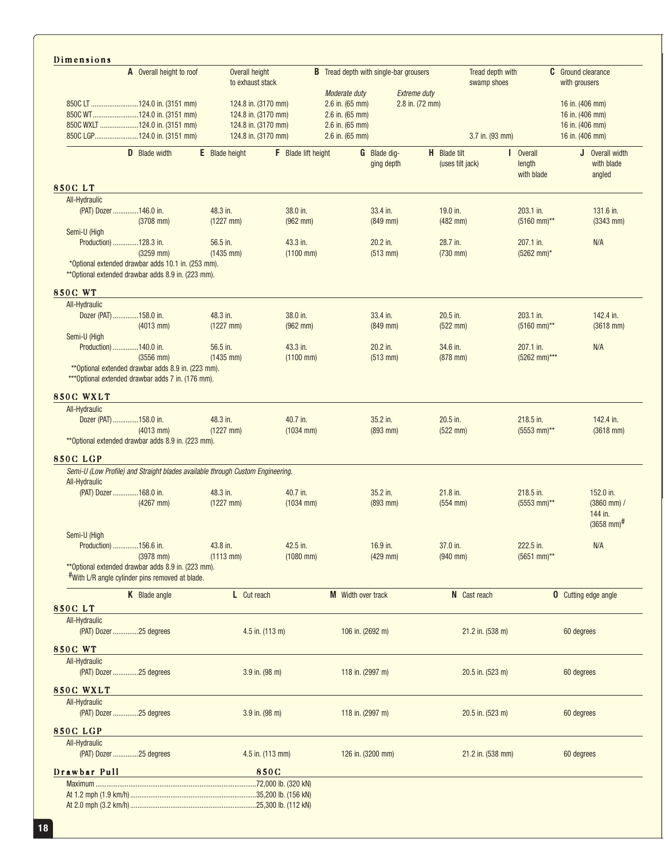| Dimensions                                                                                                |                                            |                            |                                        |                                               |                                         |                                 |                                          | <b>C</b> Ground clearance               |
|-----------------------------------------------------------------------------------------------------------|--------------------------------------------|----------------------------|----------------------------------------|-----------------------------------------------|-----------------------------------------|---------------------------------|------------------------------------------|-----------------------------------------|
| A Overall height to roof                                                                                  | Overall height<br>to exhaust stack         |                            |                                        | <b>B</b> Tread depth with single-bar grousers |                                         | Tread depth with<br>swamp shoes |                                          | with grousers                           |
|                                                                                                           |                                            |                            | Moderate duty                          | <b>Extreme duty</b>                           |                                         |                                 |                                          |                                         |
| 850C LT 124.0 in. (3151 mm)<br>850C WT124.0 in. (3151 mm)                                                 | 124.8 in. (3170 mm)<br>124.8 in. (3170 mm) |                            | $2.6$ in. $(65$ mm)<br>2.6 in. (65 mm) | 2.8 in. (72 mm)                               |                                         |                                 |                                          | 16 in. (406 mm)<br>16 in. (406 mm)      |
| 850C WXLT 124.0 in. (3151 mm)                                                                             | 124.8 in. (3170 mm)                        |                            | $2.6$ in. $(65$ mm)                    |                                               |                                         |                                 |                                          | 16 in. (406 mm)                         |
| 850C LGP124.0 in. (3151 mm)                                                                               | 124.8 in. (3170 mm)                        |                            | $2.6$ in. $(65$ mm)                    |                                               |                                         | 3.7 in. (93 mm)                 |                                          | 16 in. (406 mm)                         |
|                                                                                                           |                                            |                            |                                        |                                               |                                         |                                 |                                          |                                         |
| D Blade width                                                                                             | <b>E</b> Blade height                      | <b>F</b> Blade lift height |                                        | <b>G</b> Blade dig-<br>ging depth             | <b>H</b> Blade tilt<br>(uses tilt jack) |                                 | <b>I</b> Overall<br>length<br>with blade | J Overall width<br>with blade<br>angled |
| <b>850CLT</b>                                                                                             |                                            |                            |                                        |                                               |                                         |                                 |                                          |                                         |
| All-Hydraulic                                                                                             |                                            |                            |                                        |                                               |                                         |                                 |                                          |                                         |
| (PAT) Dozer 146.0 in.<br>$(3708$ mm)                                                                      | 48.3 in.<br>$(1227$ mm)                    | 38.0 in.<br>$(962$ mm)     |                                        | 33.4 in.<br>$(849$ mm)                        | 19.0 in.<br>$(482$ mm $)$               |                                 | 203.1 in.<br>$(5160$ mm)**               | 131.6 in.<br>$(3343$ mm)                |
| Semi-U (High                                                                                              |                                            |                            |                                        |                                               |                                         |                                 |                                          |                                         |
| Production) 128.3 in.                                                                                     | 56.5 in.                                   | 43.3 in.                   |                                        | 20.2 in.                                      | 28.7 in.                                |                                 | 207.1 in.                                | N/A                                     |
| $(3259$ mm)                                                                                               | $(1435$ mm)                                | $(1100$ mm)                |                                        | $(513$ mm)                                    | $(730$ mm)                              |                                 | (5262 mm)*                               |                                         |
| *Optional extended drawbar adds 10.1 in. (253 mm).<br>** Optional extended drawbar adds 8.9 in. (223 mm). |                                            |                            |                                        |                                               |                                         |                                 |                                          |                                         |
| <b>850C WT</b>                                                                                            |                                            |                            |                                        |                                               |                                         |                                 |                                          |                                         |
| All-Hydraulic                                                                                             |                                            |                            |                                        |                                               |                                         |                                 |                                          |                                         |
| Dozer (PAT) 158.0 in.                                                                                     | 48.3 in.                                   | 38.0 in.                   |                                        | 33.4 in.                                      | 20.5 in.                                |                                 | 203.1 in.                                | 142.4 in.                               |
| $(4013$ mm)                                                                                               | $(1227$ mm)                                | $(962$ mm)                 |                                        | $(849$ mm)                                    | $(522$ mm $)$                           |                                 | $(5160$ mm)**                            | $(3618$ mm)                             |
| Semi-U (High                                                                                              |                                            |                            |                                        |                                               |                                         |                                 |                                          |                                         |
| Production) 140.0 in.                                                                                     | 56.5 in.                                   | 43.3 in.                   |                                        | 20.2 in.                                      | 34.6 in.                                |                                 | 207.1 in.                                | N/A                                     |
| $(3556$ mm)                                                                                               | $(1435$ mm)                                | $(1100$ mm)                |                                        | $(513$ mm)                                    | $(878$ mm)                              |                                 | (5262 mm)***                             |                                         |
| ** Optional extended drawbar adds 8.9 in. (223 mm).<br>*** Optional extended drawbar adds 7 in. (176 mm). |                                            |                            |                                        |                                               |                                         |                                 |                                          |                                         |
| 850C WXLT                                                                                                 |                                            |                            |                                        |                                               |                                         |                                 |                                          |                                         |
|                                                                                                           |                                            |                            |                                        |                                               |                                         |                                 |                                          |                                         |
| All-Hydraulic                                                                                             |                                            |                            |                                        |                                               |                                         |                                 |                                          |                                         |
| Dozer (PAT) 158.0 in.                                                                                     | 48.3 in.                                   | 40.7 in.                   |                                        | 35.2 in.                                      | 20.5 in.                                |                                 | 218.5 in.                                | 142.4 in.                               |
| $(4013$ mm)                                                                                               | $(1227 \, \text{mm})$                      | $(1034$ mm)                |                                        | $(893$ mm)                                    | $(522$ mm $)$                           |                                 | $(5553$ mm)**                            | $(3618$ mm)                             |
| ** Optional extended drawbar adds 8.9 in. (223 mm).                                                       |                                            |                            |                                        |                                               |                                         |                                 |                                          |                                         |
|                                                                                                           |                                            |                            |                                        |                                               |                                         |                                 |                                          |                                         |
| Semi-U (Low Profile) and Straight blades available through Custom Engineering.                            |                                            |                            |                                        |                                               |                                         |                                 |                                          |                                         |
| All-Hydraulic                                                                                             |                                            |                            |                                        |                                               |                                         |                                 |                                          |                                         |
| (PAT) Dozer 168.0 in.                                                                                     | 48.3 in.                                   | 40.7 in.                   |                                        | 35.2 in.                                      | 21.8 in.                                |                                 | 218.5 in.                                | 152.0 in.                               |
| $(4267$ mm)                                                                                               | $(1227$ mm)                                | $(1034$ mm)                |                                        | $(893$ mm)                                    | $(554$ mm $)$                           |                                 | $(5553$ mm)**                            | 144 in.<br>$(3658$ mm) <sup>#</sup>     |
| Semi-U (High                                                                                              |                                            |                            |                                        |                                               |                                         |                                 |                                          |                                         |
| Production) 156.6 in.                                                                                     | 43.8 in.                                   | 42.5 in.                   |                                        | 16.9 in.                                      | 37.0 in.                                |                                 | 222.5 in.                                | N/A                                     |
| $(3978$ mm)                                                                                               | $(1113$ mm)                                | $(1080$ mm)                |                                        | $(429$ mm)                                    | $(940$ mm)                              |                                 | (5651 mm)**                              |                                         |
| ** Optional extended drawbar adds 8.9 in. (223 mm).                                                       |                                            |                            |                                        |                                               |                                         |                                 |                                          |                                         |
| #With L/R angle cylinder pins removed at blade.                                                           |                                            |                            |                                        |                                               |                                         |                                 |                                          |                                         |
| K Blade angle                                                                                             | L Cut reach                                |                            | M Width over track                     |                                               | N Cast reach                            |                                 |                                          | <b>0</b> Cutting edge angle             |
|                                                                                                           |                                            |                            |                                        |                                               |                                         |                                 |                                          |                                         |
| All-Hydraulic<br>(PAT) Dozer 25 degrees                                                                   |                                            |                            |                                        |                                               |                                         |                                 |                                          |                                         |
|                                                                                                           | 4.5 in. (113 m)                            |                            | 106 in. (2692 m)                       |                                               |                                         | 21.2 in. (538 m)                |                                          | 60 degrees                              |
|                                                                                                           |                                            |                            |                                        |                                               |                                         |                                 |                                          |                                         |
| All-Hydraulic                                                                                             |                                            |                            |                                        |                                               |                                         |                                 |                                          |                                         |
| (PAT) Dozer 25 degrees                                                                                    | $3.9$ in. $(98 \text{ m})$                 |                            | 118 in. (2997 m)                       |                                               |                                         | 20.5 in. (523 m)                |                                          | 60 degrees                              |
|                                                                                                           |                                            |                            |                                        |                                               |                                         |                                 |                                          | $(3860$ mm $)/$                         |
| All-Hydraulic                                                                                             |                                            |                            |                                        |                                               |                                         |                                 |                                          |                                         |
| <b>850C LGP</b><br>850CLT<br><b>850C WT</b><br>850C WXLT<br>(PAT) Dozer 25 degrees                        | $3.9$ in. $(98 \text{ m})$                 |                            | 118 in. (2997 m)                       |                                               |                                         | $20.5$ in. $(523 \text{ m})$    |                                          | 60 degrees                              |
| <b>850C LGP</b>                                                                                           |                                            |                            |                                        |                                               |                                         |                                 |                                          |                                         |
| All-Hydraulic                                                                                             |                                            |                            |                                        |                                               |                                         |                                 |                                          |                                         |
| (PAT) Dozer 25 degrees                                                                                    |                                            | $4.5$ in. $(113$ mm)       | 126 in. (3200 mm)                      |                                               |                                         | 21.2 in. (538 mm)               |                                          | 60 degrees                              |
|                                                                                                           |                                            |                            |                                        |                                               |                                         |                                 |                                          |                                         |
| Drawbar Pull                                                                                              |                                            | 850C                       |                                        |                                               |                                         |                                 |                                          |                                         |
|                                                                                                           |                                            |                            |                                        |                                               |                                         |                                 |                                          |                                         |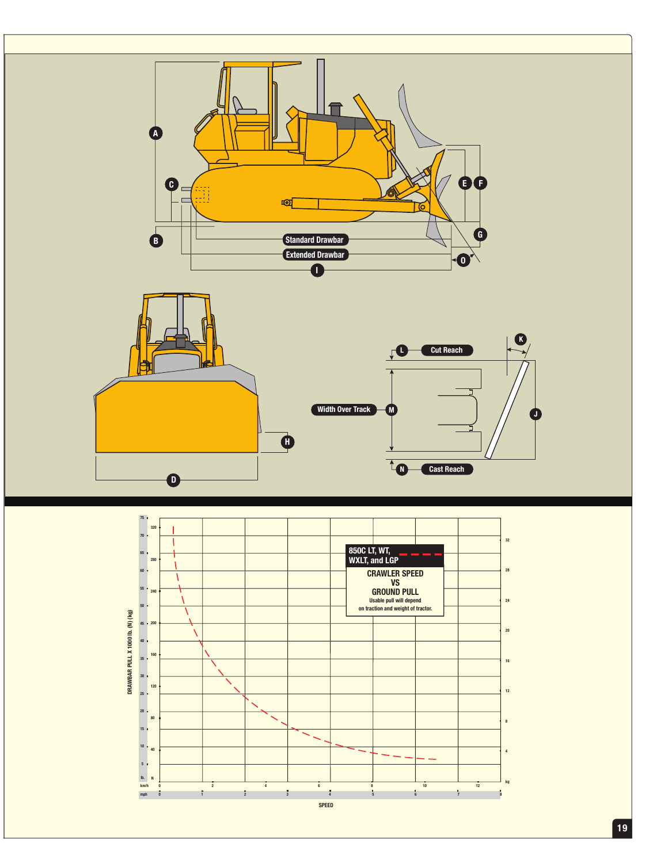